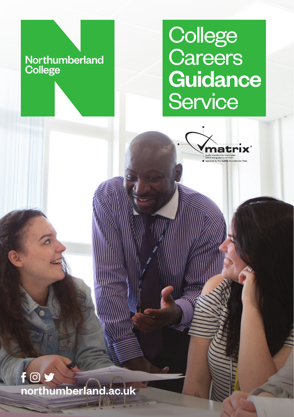### Northumberland **College**

## **College Careers Guidance Service**



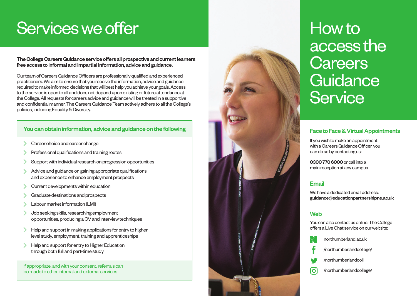# Services we offer

The College Careers Guidance service offers all prospective and current learners free access to informal and impartial information, advice and guidance.

Our team of Careers Guidance Officers are professionally qualified and experienced practitioners. We aim to ensure that you receive the information, advice and guidance required to make informed decisions that will best help you achieve your goals. Access to the service is open to all and does not depend upon existing or future attendance at the College. All requests for careers advice and guidance will be treated in a supportive and confidential manner. The Careers Guidance Team actively adhere to all the College's policies, including Equality & Diversity.

### You can obtain information, advice and guidance on the following **the control of the following** Face to Face & Virtual Appointments

- Career choice and career change
- Professional qualifications and training routes
- Support with individual research on progression opportunities
- Advice and guidance on gaining appropriate qualifications and experience to enhance employment prospects
- Current developments within education
- Graduate destinations and prospects
- Labour market information (LMI)
- Job seeking skills, researching employment opportunities, producing a CV and interview techniques
- Help and support in making applications for entry to higher level study, employment, training and apprenticeships
- Help and support for entry to Higher Education through both full and part-time study

If appropriate, and with your consent, referrals can be made to other internal and external services.



# How to access the **Careers Guidance Service**

If you wish to make an appointment with a Careers Guidance Officer, you can do so by contacting us:

0300 770 6000 or call into a main reception at any campus.

#### Email

We have a dedicated email address: guidance@educationpartnershipne.ac.uk

#### **Web**

You can also contact us online. The College offers a Live Chat service on our website:

northumberland.ac.uk /northumberlandcollege/ /northumberlandcoll [ဝ] /northumberlandcollege/